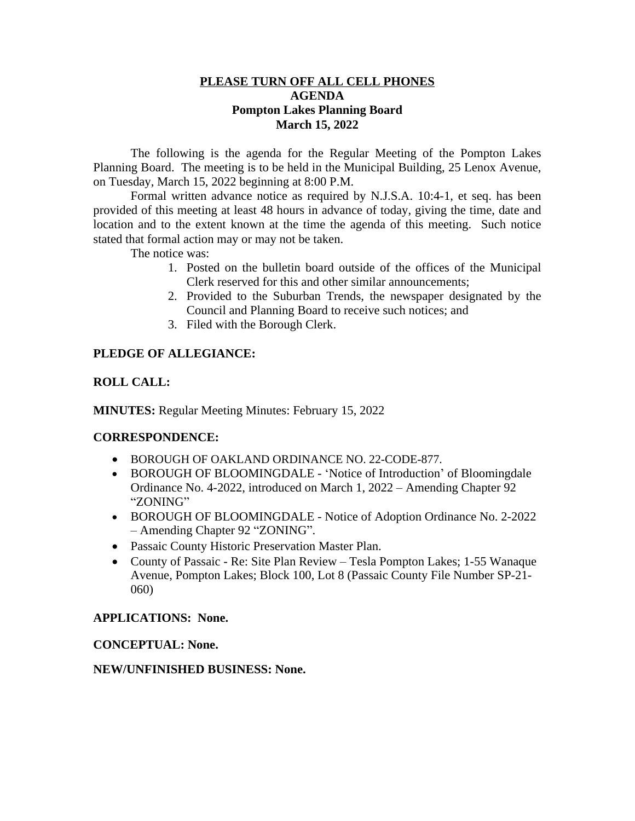#### **PLEASE TURN OFF ALL CELL PHONES AGENDA Pompton Lakes Planning Board March 15, 2022**

The following is the agenda for the Regular Meeting of the Pompton Lakes Planning Board. The meeting is to be held in the Municipal Building, 25 Lenox Avenue, on Tuesday, March 15, 2022 beginning at 8:00 P.M.

Formal written advance notice as required by N.J.S.A. 10:4-1, et seq. has been provided of this meeting at least 48 hours in advance of today, giving the time, date and location and to the extent known at the time the agenda of this meeting. Such notice stated that formal action may or may not be taken.

The notice was:

- 1. Posted on the bulletin board outside of the offices of the Municipal Clerk reserved for this and other similar announcements;
- 2. Provided to the Suburban Trends, the newspaper designated by the Council and Planning Board to receive such notices; and
- 3. Filed with the Borough Clerk.

# **PLEDGE OF ALLEGIANCE:**

### **ROLL CALL:**

**MINUTES:** Regular Meeting Minutes: February 15, 2022

#### **CORRESPONDENCE:**

- BOROUGH OF OAKLAND ORDINANCE NO. 22-CODE-877.
- BOROUGH OF BLOOMINGDALE 'Notice of Introduction' of Bloomingdale Ordinance No. 4-2022, introduced on March 1, 2022 – Amending Chapter 92 "ZONING"
- BOROUGH OF BLOOMINGDALE Notice of Adoption Ordinance No. 2-2022 – Amending Chapter 92 "ZONING".
- Passaic County Historic Preservation Master Plan.
- County of Passaic Re: Site Plan Review Tesla Pompton Lakes; 1-55 Wanaque Avenue, Pompton Lakes; Block 100, Lot 8 (Passaic County File Number SP-21- 060)

#### **APPLICATIONS: None.**

**CONCEPTUAL: None.**

## **NEW/UNFINISHED BUSINESS: None.**